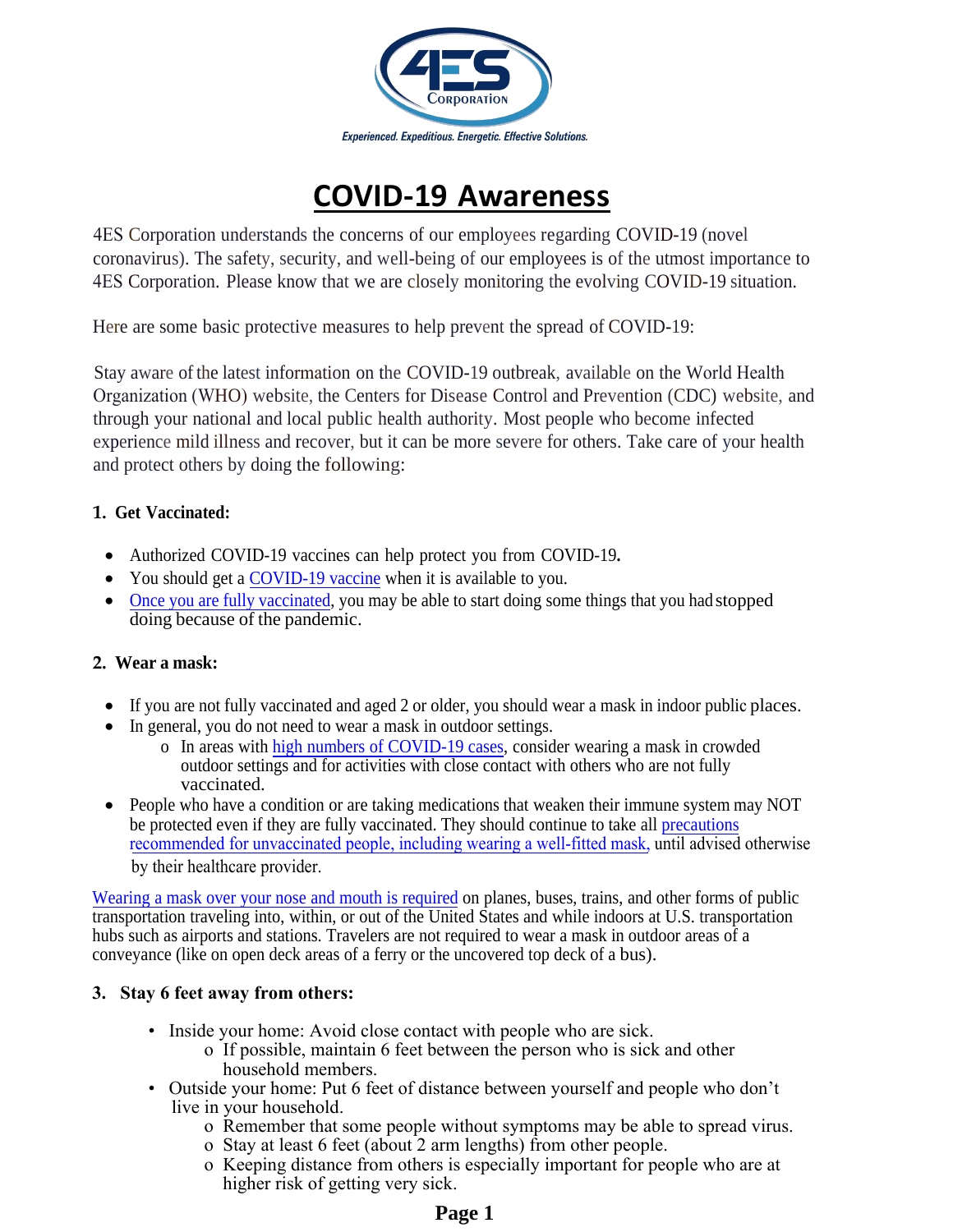

# **COVID-19 Awareness**

4ES Corporation understands the concerns of our employees regarding COVID-19 (novel coronavirus). The safety, security, and well-being of our employees is of the utmost importance to 4ES Corporation. Please know that we are closely monitoring the evolving COVID-19 situation.

Here are some basic protective measures to help prevent the spread of COVID-19:

Stay aware ofthe latest information on the COVID-19 outbreak, available on the World Health Organization (WHO) website, the Centers for Disease Control and Prevention (CDC) website, and through your national and local public health authority. Most people who become infected experience mild illness and recover, but it can be more severe for others. Take care of your health and protect others by doing the following:

# **1. Get Vaccinated:**

- Authorized COVID-19 vaccines can help protect you from COVID-19**.**
- You should get a [COVID-19 vaccine](https://www.cdc.gov/coronavirus/2019-ncov/vaccines/index.html) when it is available to you.
- Once you are fully vaccinated, you may be able to start doing some things that you had stopped [doing because of the pandem](https://www.cdc.gov/coronavirus/2019-ncov/vaccines/fully-vaccinated.html)ic.

# **2. Wear a mask:**

- If you are not fully vaccinated and aged 2 or older, you should wear a mask in indoor public places.
- In general, you do not need to wear a mask in outdoor settings.
	- o In areas with [high numbers of COVID-19 cases,](https://covid.cdc.gov/covid-data-tracker/#county-view) consider wearing a mask in crowded outdoor settings and for activities with close contact with others who are not fully vaccinated.
- by their healthcare provider. • People who have a condition or are taking medications that weaken their immune system may NOT be protected even if they are fully vaccinated. They should continue to take all precautions [recommended for unvaccinated people, including wearing a well-fitted mask,](https://www.cdc.gov/coronavirus/2019-ncov/prevent-getting-sick/prevention.html) [until advised otherwise](https://www.cdc.gov/coronavirus/2019-ncov/prevent-getting-sick/prevention.html)

Wearing a mask [over your nose and](https://www.cdc.gov/coronavirus/2019-ncov/travelers/face-masks-public-transportation.html) mouth is required on planes, buses, trains, and other forms of public transportation traveling into, within, or out of the United States and while indoors at U.S. transportation hubs such as airports and stations. Travelers are not required to wear a mask in outdoor areas of a conveyance (like on open deck areas of a ferry or the uncovered top deck of a bus).

# **3. Stay 6 feet away from others:**

- Inside your home: Avoid close contact with people who are sick.
	- o If possible, maintain 6 feet between the person who is sick and other household members.
- Outside your home: Put 6 feet of distance between yourself and people who don't live in your household.
	- o Remember that some people without symptoms may be able to spread virus.
	- o Stay at least 6 feet (about 2 arm lengths) from other people.
	- o Keeping distance from others is especially important for people who are at higher risk of getting very sick.

# **Page 1**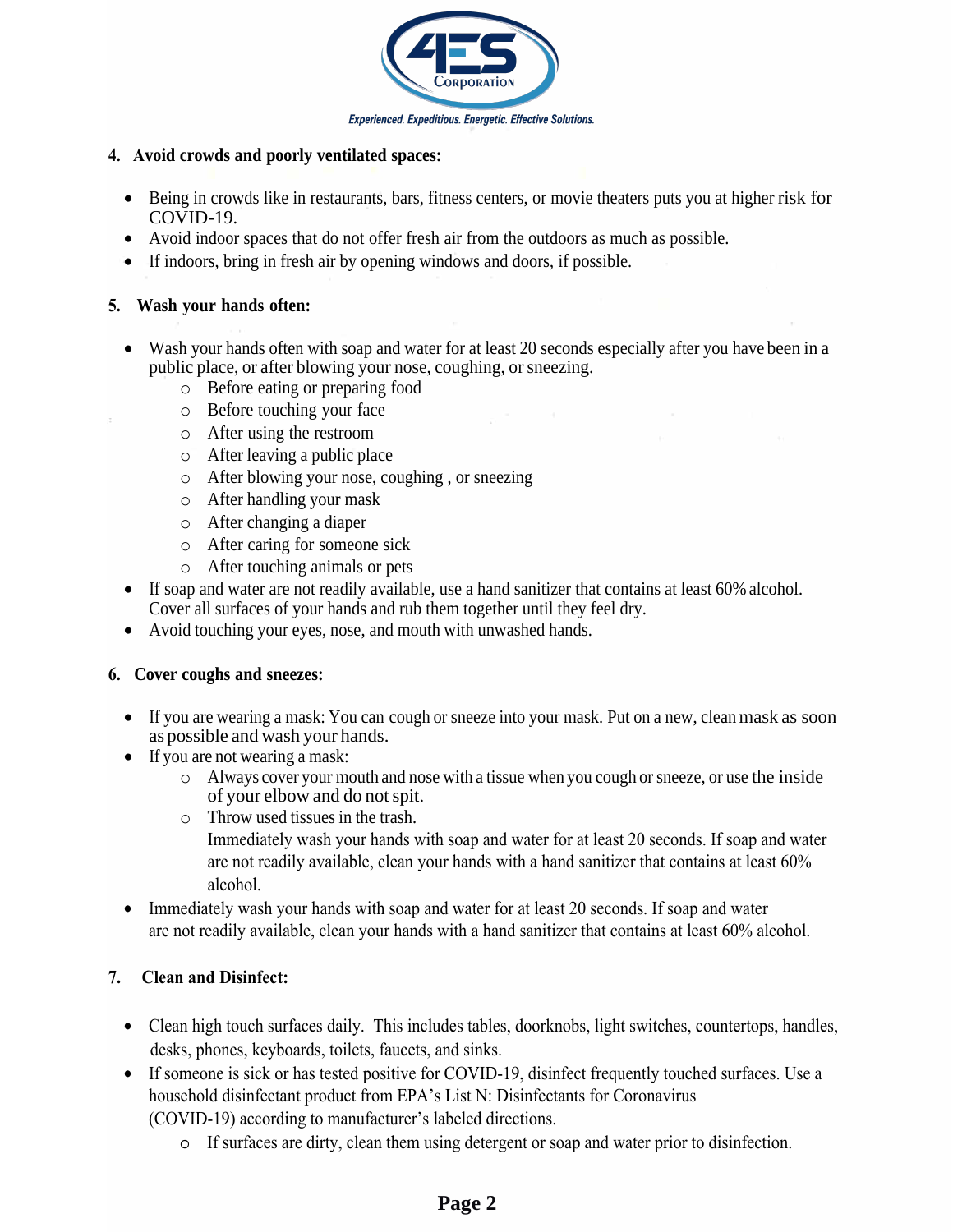

#### **4. Avoid crowds and poorly ventilated spaces:**

- Being in crowds like in restaurants, bars, fitness centers, or movie theaters puts you at higher risk for COVID-19.
- Avoid indoor spaces that do not offer fresh air from the outdoors as much as possible.
- If indoors, bring in fresh air by opening windows and doors, if possible.

#### **5. Wash your [hands](https://www.cdc.gov/coronavirus/2019-ncov/prevent-getting-sick/prevention.html#stay6ft%20) often:**

- Wash [your hands often with](https://www.cdc.gov/coronavirus/2019-ncov/need-extra-precautions/people-at-increased-risk.html) soap and water for at least 20 seconds especially after [you have been in](https://www.cdc.gov/coronavirus/2019-ncov/need-extra-precautions/people-at-increased-risk.html) a public place, or after blowing your nose, coughing, or sneezing.
	- o Before eating or preparing food
	- o Before touching your face
	- o After using the restroom
	- o After leaving a public place
	- o After blowing your nose, coughing , or sneezing
	- o After handling your mask
	- o After changing a diaper
	- o After caring for someone sick
	- o After touching animals or pets
- If soap and water are not readily available, use a hand sanitizer that contains at least 60% alcohol. Cover all surfaces of your hands and rub them together until they feel dry.
- Avoid touching your eyes, nose, and mouth with unwashed hands.

#### **6. Cover coughs and sneezes:**

- If you are wearing a mask: You can cough or sneeze into your mask. Put on a new, clean mask as soon as possible and wash your hands.
- If you are not wearing a mask:
	- o Always cover your mouth and nose with a tissue when you cough or sneeze, or use the inside of your elbow and do not spit.
	- o Throw used tissues in the trash. Immediately wash your hands with soap and water for at least 20 seconds. If soap and water are not readily available, clean your hands with a hand sanitizer that contains at least 60% alcohol.
- Immediately wash your hands with soap and water for at least 20 seconds. If soap and water are not readily available, clean your hands with a hand sanitizer that contains at least 60% alcohol.

# **7. Clean and Disinfect:**

- Clean high touch surfaces daily. This includes tables, doorknobs, light switches, countertops, handles, desks, phones, keyboards, toilets, faucets, and sinks.
- If someone is sick or has tested positive for COVID-19, disinfect frequently touched surfaces. Use a household disinfectant product from EPA's List N: Disinfectants for Coronavirus (COVID-19) according to manufacturer's labeled directions.
	- o If surfaces are dirty, clean them using detergent or soap and water prior to disinfection.